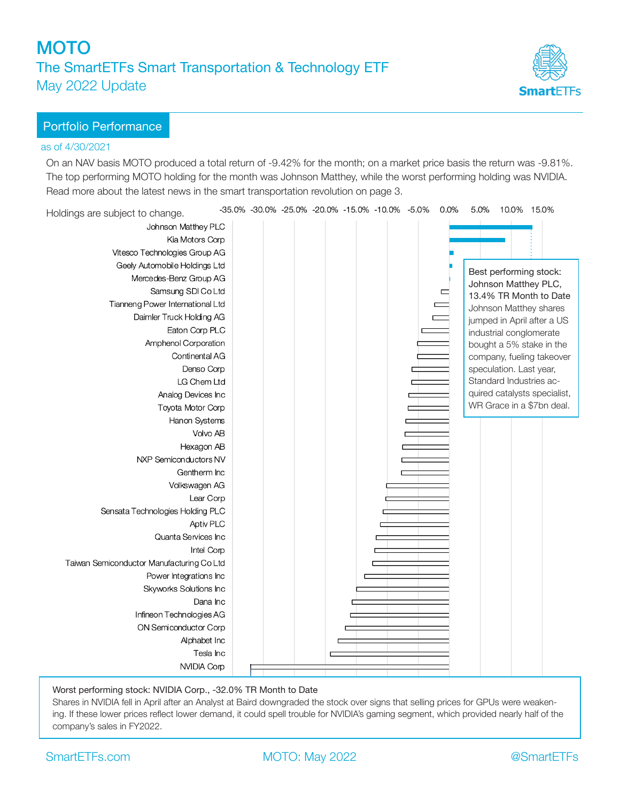# **MOTO** The SmartETFs Smart Transportation & Technology ETF May 2022 Update



### Portfolio Performance

#### as of 4/30/2021

On an NAV basis MOTO produced a total return of -9.42% for the month; on a market price basis the return was -9.81%. The top performing MOTO holding for the month was Johnson Matthey, while the worst performing holding was NVIDIA. Read more about the latest news in the smart transportation revolution on page 3.



### Worst performing stock: NVIDIA Corp., -32.0% TR Month to Date

Shares in NVIDIA fell in April after an Analyst at Baird downgraded the stock over signs that selling prices for GPUs were weakening. If these lower prices reflect lower demand, it could spell trouble for NVIDIA's gaming segment, which provided nearly half of the company's sales in FY2022.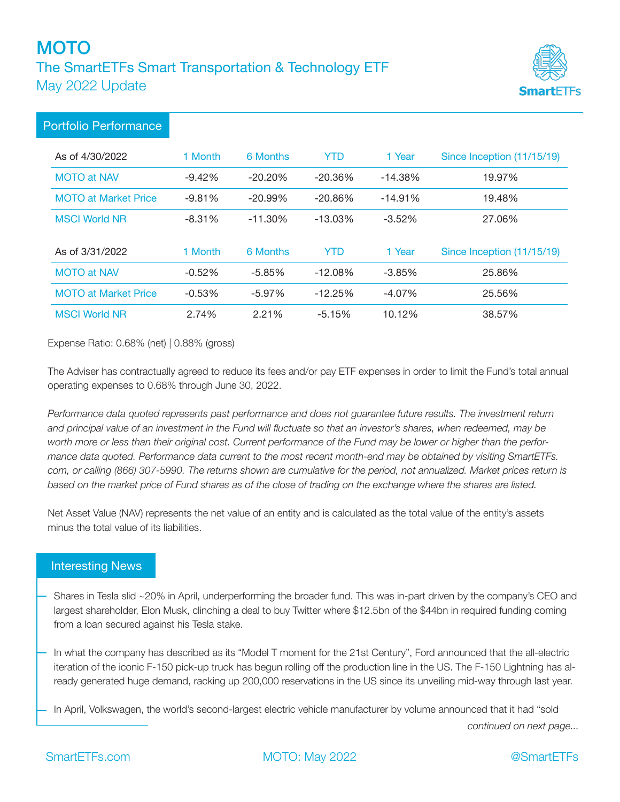# **MOTO** The SmartETFs Smart Transportation & Technology ETF May 2022 Update



## Portfolio Performance

| As of 4/30/2022             | 1 Month  | 6 Months   | YTD        | 1 Year     | Since Inception (11/15/19) |
|-----------------------------|----------|------------|------------|------------|----------------------------|
| <b>MOTO at NAV</b>          | $-9.42%$ | $-20.20\%$ | $-20.36%$  | $-14.38%$  | 19.97%                     |
| <b>MOTO at Market Price</b> | $-9.81%$ | $-20.99\%$ | $-20.86\%$ | $-14.91\%$ | 19.48%                     |
| <b>MSCI World NR</b>        | $-8.31%$ | $-11.30\%$ | $-13.03\%$ | $-3.52%$   | 27.06%                     |
|                             |          |            |            |            |                            |
| As of 3/31/2022             | 1 Month  | 6 Months   | <b>YTD</b> | 1 Year     | Since Inception (11/15/19) |
| <b>MOTO at NAV</b>          | $-0.52%$ | $-5.85%$   | $-12.08%$  | $-3.85%$   | 25.86%                     |
| <b>MOTO at Market Price</b> | $-0.53%$ | $-5.97\%$  | $-12.25%$  | $-4.07\%$  | 25.56%                     |

Expense Ratio: 0.68% (net) | 0.88% (gross)

The Adviser has contractually agreed to reduce its fees and/or pay ETF expenses in order to limit the Fund's total annual operating expenses to 0.68% through June 30, 2022.

*Performance data quoted represents past performance and does not guarantee future results. The investment return*  and principal value of an investment in the Fund will fluctuate so that an investor's shares, when redeemed, may be *worth more or less than their original cost. Current performance of the Fund may be lower or higher than the performance data quoted. Performance data current to the most recent month-end may be obtained by visiting SmartETFs. com, or calling (866) 307-5990. The returns shown are cumulative for the period, not annualized. Market prices return is*  based on the market price of Fund shares as of the close of trading on the exchange where the shares are listed.

Net Asset Value (NAV) represents the net value of an entity and is calculated as the total value of the entity's assets minus the total value of its liabilities.

## Interesting News

- Shares in Tesla slid ~20% in April, underperforming the broader fund. This was in-part driven by the company's CEO and largest shareholder, Elon Musk, clinching a deal to buy Twitter where \$12.5bn of the \$44bn in required funding coming from a loan secured against his Tesla stake.
- In what the company has described as its "Model T moment for the 21st Century", Ford announced that the all-electric iteration of the iconic F-150 pick-up truck has begun rolling off the production line in the US. The F-150 Lightning has already generated huge demand, racking up 200,000 reservations in the US since its unveiling mid-way through last year.
- In April, Volkswagen, the world's second-largest electric vehicle manufacturer by volume announced that it had "sold

*continued on next page...*